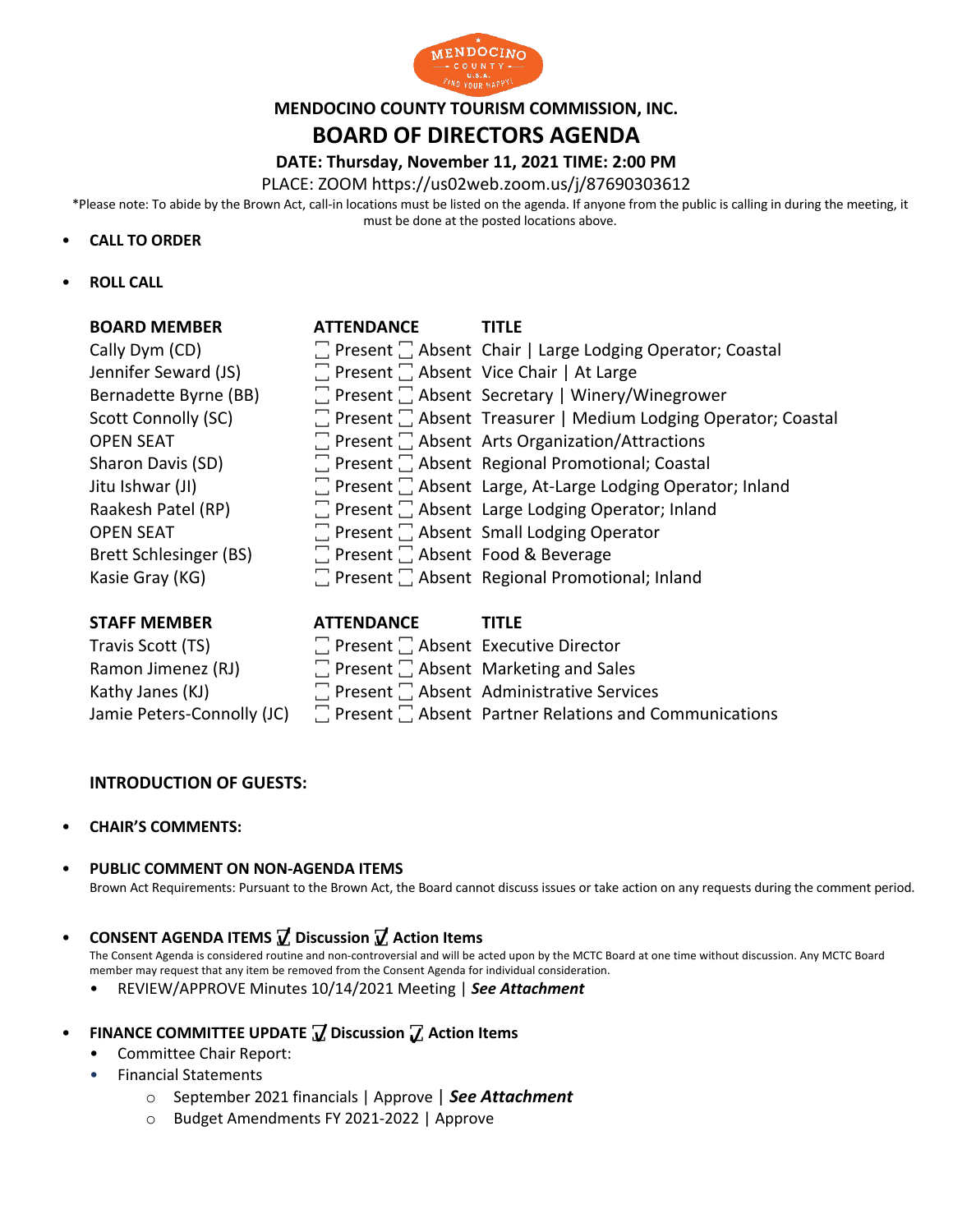

# **MENDOCINO COUNTY TOURISM COMMISSION, INC.**

# **BOARD OF DIRECTORS AGENDA**

# **DATE: Thursday, November 11, 2021 TIME: 2:00 PM**

PLACE: ZOOM https://us02web.zoom.us/j/87690303612

\*Please note: To abide by the Brown Act, call-in locations must be listed on the agenda. If anyone from the public is calling in during the meeting, it must be done at the posted locations above.

#### • **CALL TO ORDER**

• **ROLL CALL**

| <b>BOARD MEMBER</b>        | <b>ATTENDANCE</b>                                | TITLE                                                                 |
|----------------------------|--------------------------------------------------|-----------------------------------------------------------------------|
| Cally Dym (CD)             |                                                  | □ Present □ Absent Chair   Large Lodging Operator; Coastal            |
| Jennifer Seward (JS)       | Present Absent Vice Chair   At Large             |                                                                       |
| Bernadette Byrne (BB)      |                                                  | □ Present □ Absent Secretary   Winery/Winegrower                      |
| Scott Connolly (SC)        |                                                  | Feresent Feature Treasurer   Medium Lodging Operator; Coastal         |
| <b>OPEN SEAT</b>           |                                                  | $\Box$ Present $\Box$ Absent Arts Organization/Attractions            |
| Sharon Davis (SD)          |                                                  | $\Box$ Present $\Box$ Absent Regional Promotional; Coastal            |
| Jitu Ishwar (JI)           |                                                  | $\Box$ Present $\Box$ Absent Large, At-Large Lodging Operator; Inland |
| Raakesh Patel (RP)         |                                                  | $\Box$ Present $\Box$ Absent Large Lodging Operator; Inland           |
| <b>OPEN SEAT</b>           |                                                  | $\Box$ Present $\Box$ Absent Small Lodging Operator                   |
| Brett Schlesinger (BS)     | $\Box$ Present $\Box$ Absent Food & Beverage     |                                                                       |
| Kasie Gray (KG)            |                                                  | Present Regional Promotional; Inland                                  |
|                            |                                                  |                                                                       |
| <b>STAFF MEMBER</b>        | <b>ATTENDANCE</b>                                | <b>TITLE</b>                                                          |
| Travis Scott (TS)          | $\Box$ Present $\Box$ Absent Executive Director  |                                                                       |
| Ramon Jimenez (RJ)         | $\Box$ Present $\Box$ Absent Marketing and Sales |                                                                       |
| Kathy Janes (KJ)           |                                                  | $\Box$ Present $\Box$ Absent Administrative Services                  |
| Jamie Peters-Connolly (JC) |                                                  | $\Box$ Present $\Box$ Absent Partner Relations and Communications     |

## **INTRODUCTION OF GUESTS:**

- **CHAIR'S COMMENTS:**
- **PUBLIC COMMENT ON NON-AGENDA ITEMS**

Brown Act Requirements: Pursuant to the Brown Act, the Board cannot discuss issues or take action on any requests during the comment period.

## • **CONSENT AGENDA ITEMS ꙱ Discussion ꙱ Action Items**

The Consent Agenda is considered routine and non-controversial and will be acted upon by the MCTC Board at one time without discussion. Any MCTC Board member may request that any item be removed from the Consent Agenda for individual consideration.

- REVIEW/APPROVE Minutes 10/14/2021 Meeting | *See Attachment*
- FINANCE COMMITTEE UPDATE **7** Discussion 7 Action Items
	- Committee Chair Report:
	- Financial Statements
		- o September 2021 financials | Approve | *See Attachment* m יענ<br>-
		- o Budget Amendments FY 2021-2022 | Approve i